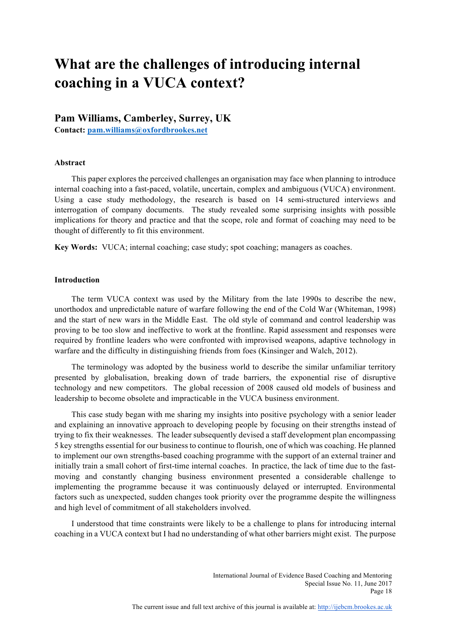# **What are the challenges of introducing internal coaching in a VUCA context?**

**Pam Williams, Camberley, Surrey, UK Contact: pam.williams@oxfordbrookes.net**

### **Abstract**

This paper explores the perceived challenges an organisation may face when planning to introduce internal coaching into a fast-paced, volatile, uncertain, complex and ambiguous (VUCA) environment. Using a case study methodology, the research is based on 14 semi-structured interviews and interrogation of company documents. The study revealed some surprising insights with possible implications for theory and practice and that the scope, role and format of coaching may need to be thought of differently to fit this environment.

**Key Words:** VUCA; internal coaching; case study; spot coaching; managers as coaches.

#### **Introduction**

The term VUCA context was used by the Military from the late 1990s to describe the new, unorthodox and unpredictable nature of warfare following the end of the Cold War (Whiteman, 1998) and the start of new wars in the Middle East. The old style of command and control leadership was proving to be too slow and ineffective to work at the frontline. Rapid assessment and responses were required by frontline leaders who were confronted with improvised weapons, adaptive technology in warfare and the difficulty in distinguishing friends from foes (Kinsinger and Walch, 2012).

The terminology was adopted by the business world to describe the similar unfamiliar territory presented by globalisation, breaking down of trade barriers, the exponential rise of disruptive technology and new competitors. The global recession of 2008 caused old models of business and leadership to become obsolete and impracticable in the VUCA business environment.

This case study began with me sharing my insights into positive psychology with a senior leader and explaining an innovative approach to developing people by focusing on their strengths instead of trying to fix their weaknesses. The leader subsequently devised a staff development plan encompassing 5 key strengths essential for our business to continue to flourish, one of which was coaching. He planned to implement our own strengths-based coaching programme with the support of an external trainer and initially train a small cohort of first-time internal coaches. In practice, the lack of time due to the fastmoving and constantly changing business environment presented a considerable challenge to implementing the programme because it was continuously delayed or interrupted. Environmental factors such as unexpected, sudden changes took priority over the programme despite the willingness and high level of commitment of all stakeholders involved.

I understood that time constraints were likely to be a challenge to plans for introducing internal coaching in a VUCA context but I had no understanding of what other barriers might exist. The purpose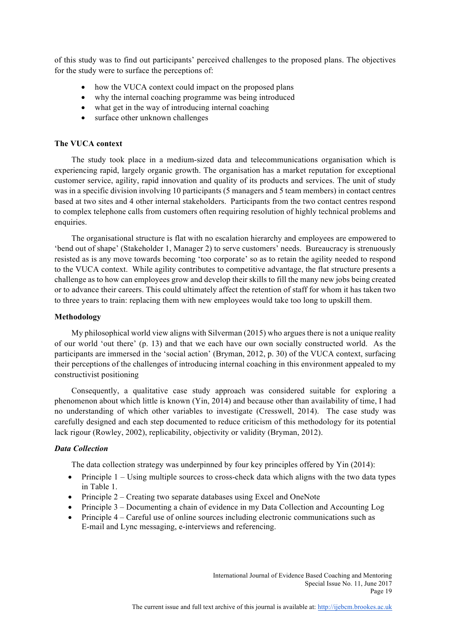of this study was to find out participants' perceived challenges to the proposed plans. The objectives for the study were to surface the perceptions of:

- how the VUCA context could impact on the proposed plans
- why the internal coaching programme was being introduced
- what get in the way of introducing internal coaching
- surface other unknown challenges

## **The VUCA context**

The study took place in a medium-sized data and telecommunications organisation which is experiencing rapid, largely organic growth. The organisation has a market reputation for exceptional customer service, agility, rapid innovation and quality of its products and services. The unit of study was in a specific division involving 10 participants (5 managers and 5 team members) in contact centres based at two sites and 4 other internal stakeholders. Participants from the two contact centres respond to complex telephone calls from customers often requiring resolution of highly technical problems and enquiries.

The organisational structure is flat with no escalation hierarchy and employees are empowered to 'bend out of shape' (Stakeholder 1, Manager 2) to serve customers' needs. Bureaucracy is strenuously resisted as is any move towards becoming 'too corporate' so as to retain the agility needed to respond to the VUCA context. While agility contributes to competitive advantage, the flat structure presents a challenge as to how can employees grow and develop their skills to fill the many new jobs being created or to advance their careers. This could ultimately affect the retention of staff for whom it has taken two to three years to train: replacing them with new employees would take too long to upskill them.

### **Methodology**

My philosophical world view aligns with Silverman (2015) who argues there is not a unique reality of our world 'out there' (p. 13) and that we each have our own socially constructed world. As the participants are immersed in the 'social action' (Bryman, 2012, p. 30) of the VUCA context, surfacing their perceptions of the challenges of introducing internal coaching in this environment appealed to my constructivist positioning

Consequently, a qualitative case study approach was considered suitable for exploring a phenomenon about which little is known (Yin, 2014) and because other than availability of time, I had no understanding of which other variables to investigate (Cresswell, 2014). The case study was carefully designed and each step documented to reduce criticism of this methodology for its potential lack rigour (Rowley, 2002), replicability, objectivity or validity (Bryman, 2012).

## *Data Collection*

The data collection strategy was underpinned by four key principles offered by Yin (2014):

- Principle  $1 -$ Using multiple sources to cross-check data which aligns with the two data types in Table 1.
- Principle 2 Creating two separate databases using Excel and OneNote
- Principle 3 Documenting a chain of evidence in my Data Collection and Accounting Log
- Principle 4 Careful use of online sources including electronic communications such as E-mail and Lync messaging, e-interviews and referencing.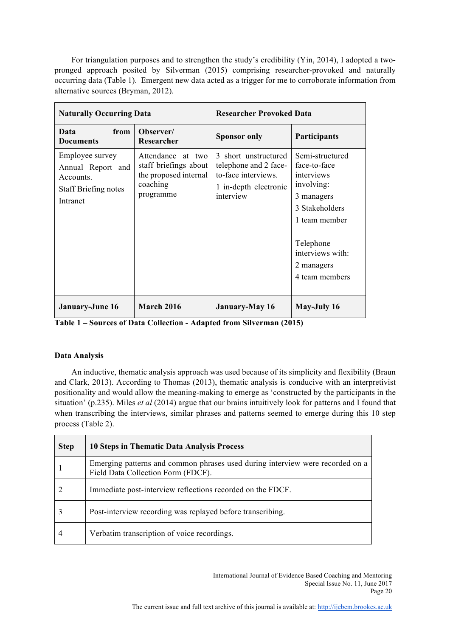For triangulation purposes and to strengthen the study's credibility (Yin, 2014), I adopted a twopronged approach posited by Silverman (2015) comprising researcher-provoked and naturally occurring data (Table 1). Emergent new data acted as a trigger for me to corroborate information from alternative sources (Bryman, 2012).

| <b>Naturally Occurring Data</b>                                                              |                                                                                              | <b>Researcher Provoked Data</b>                                                                            |                                                                                                                                                                               |
|----------------------------------------------------------------------------------------------|----------------------------------------------------------------------------------------------|------------------------------------------------------------------------------------------------------------|-------------------------------------------------------------------------------------------------------------------------------------------------------------------------------|
| from<br>Data<br><b>Documents</b>                                                             | Observer/<br>Researcher                                                                      | <b>Sponsor only</b>                                                                                        | <b>Participants</b>                                                                                                                                                           |
| Employee survey<br>Annual Report and<br>Accounts.<br><b>Staff Briefing notes</b><br>Intranet | Attendance at two<br>staff briefings about<br>the proposed internal<br>coaching<br>programme | 3 short unstructured<br>telephone and 2 face-<br>to-face interviews.<br>1 in-depth electronic<br>interview | Semi-structured<br>face-to-face<br>interviews<br>involving:<br>3 managers<br>3 Stakeholders<br>1 team member<br>Telephone<br>interviews with:<br>2 managers<br>4 team members |
| <b>January-June 16</b>                                                                       | <b>March 2016</b>                                                                            | <b>January-May 16</b>                                                                                      | May-July 16                                                                                                                                                                   |

**Table 1 – Sources of Data Collection - Adapted from Silverman (2015)** 

## **Data Analysis**

An inductive, thematic analysis approach was used because of its simplicity and flexibility (Braun and Clark, 2013). According to Thomas (2013), thematic analysis is conducive with an interpretivist positionality and would allow the meaning-making to emerge as 'constructed by the participants in the situation' (p.235). Miles *et al* (2014) argue that our brains intuitively look for patterns and I found that when transcribing the interviews, similar phrases and patterns seemed to emerge during this 10 step process (Table 2).

| <b>Step</b> | 10 Steps in Thematic Data Analysis Process                                                                          |
|-------------|---------------------------------------------------------------------------------------------------------------------|
|             | Emerging patterns and common phrases used during interview were recorded on a<br>Field Data Collection Form (FDCF). |
|             | Immediate post-interview reflections recorded on the FDCF.                                                          |
|             | Post-interview recording was replayed before transcribing.                                                          |
| 4           | Verbatim transcription of voice recordings.                                                                         |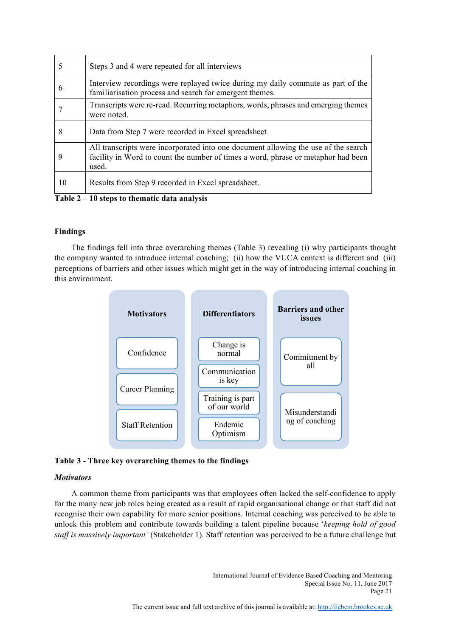|    | Steps 3 and 4 were repeated for all interviews                                                                                                                                   |
|----|----------------------------------------------------------------------------------------------------------------------------------------------------------------------------------|
| b  | Interview recordings were replayed twice during my daily commute as part of the<br>familiarisation process and search for emergent themes.                                       |
|    | Transcripts were re-read. Recurring metaphors, words, phrases and emerging themes<br>were noted.                                                                                 |
| 8  | Data from Step 7 were recorded in Excel spreadsheet                                                                                                                              |
| 9  | All transcripts were incorporated into one document allowing the use of the search<br>facility in Word to count the number of times a word, phrase or metaphor had been<br>used. |
| 10 | Results from Step 9 recorded in Excel spreadsheet.                                                                                                                               |
|    | .                                                                                                                                                                                |

**Table 2 – 10 steps to thematic data analysis**

## **Findings**

The findings fell into three overarching themes (Table 3) revealing (i) why participants thought the company wanted to introduce internal coaching; (ii) how the VUCA context is different and (iii) perceptions of barriers and other issues which might get in the way of introducing internal coaching in this environment.





## *Motivators*

A common theme from participants was that employees often lacked the self-confidence to apply for the many new job roles being created as a result of rapid organisational change or that staff did not recognise their own capability for more senior positions. Internal coaching was perceived to be able to unlock this problem and contribute towards building a talent pipeline because '*keeping hold of good staff is massively important'* (Stakeholder 1). Staff retention was perceived to be a future challenge but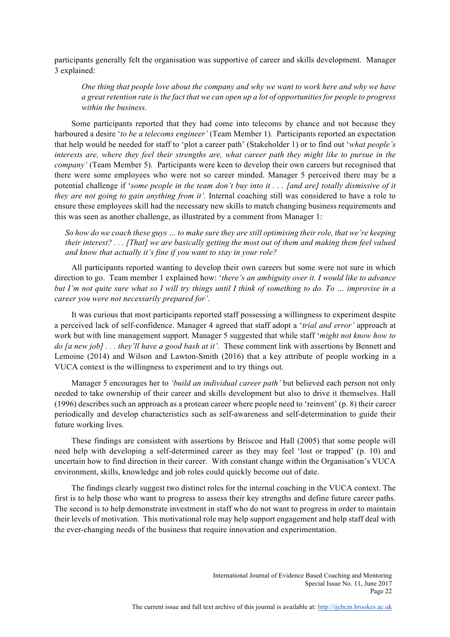participants generally felt the organisation was supportive of career and skills development. Manager 3 explained:

*One thing that people love about the company and why we want to work here and why we have a great retention rate is the fact that we can open up a lot of opportunities for people to progress within the business.*

Some participants reported that they had come into telecoms by chance and not because they harboured a desire '*to be a telecoms engineer'* (Team Member 1). Participants reported an expectation that help would be needed for staff to 'plot a career path' (Stakeholder 1) or to find out '*what people's interests are, where they feel their strengths are, what career path they might like to pursue in the company'* (Team Member 5)*.* Participants were keen to develop their own careers but recognised that there were some employees who were not so career minded. Manager 5 perceived there may be a potential challenge if '*some people in the team don't buy into it . . . [and are] totally dismissive of it they are not going to gain anything from it'.* Internal coaching still was considered to have a role to ensure these employees skill had the necessary new skills to match changing business requirements and this was seen as another challenge, as illustrated by a comment from Manager 1:

*So how do we coach these guys … to make sure they are still optimising their role, that we're keeping their interest? . . . [That] we are basically getting the most out of them and making them feel valued and know that actually it's fine if you want to stay in your role?* 

All participants reported wanting to develop their own careers but some were not sure in which direction to go. Team member 1 explained how: '*there's an ambiguity over it. I would like to advance but I'm not quite sure what so I will try things until I think of something to do. To … improvise in a career you were not necessarily prepared for'*.

It was curious that most participants reported staff possessing a willingness to experiment despite a perceived lack of self-confidence. Manager 4 agreed that staff adopt a '*trial and error'* approach at work but with line management support. Manager 5 suggested that while staff '*might not know how to do [a new job] . . . they'll have a good bash at it'.* These comment link with assertions by Bennett and Lemoine (2014) and Wilson and Lawton-Smith (2016) that a key attribute of people working in a VUCA context is the willingness to experiment and to try things out.

Manager 5 encourages her to *'build an individual career path'* but believed each person not only needed to take ownership of their career and skills development but also to drive it themselves. Hall (1996) describes such an approach as a protean career where people need to 'reinvent' (p. 8) their career periodically and develop characteristics such as self-awareness and self-determination to guide their future working lives.

These findings are consistent with assertions by Briscoe and Hall (2005) that some people will need help with developing a self-determined career as they may feel 'lost or trapped' (p. 10) and uncertain how to find direction in their career. With constant change within the Organisation's VUCA environment, skills, knowledge and job roles could quickly become out of date.

The findings clearly suggest two distinct roles for the internal coaching in the VUCA context. The first is to help those who want to progress to assess their key strengths and define future career paths. The second is to help demonstrate investment in staff who do not want to progress in order to maintain their levels of motivation. This motivational role may help support engagement and help staff deal with the ever-changing needs of the business that require innovation and experimentation.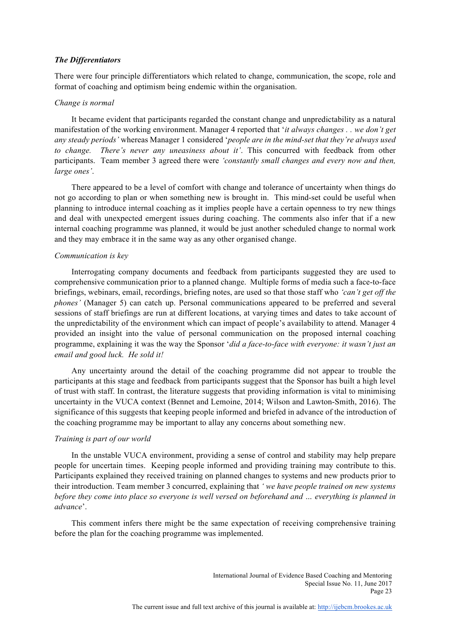#### *The Differentiators*

There were four principle differentiators which related to change, communication, the scope, role and format of coaching and optimism being endemic within the organisation.

#### *Change is normal*

It became evident that participants regarded the constant change and unpredictability as a natural manifestation of the working environment. Manager 4 reported that '*it always changes . . we don't get any steady periods'* whereas Manager 1 considered '*people are in the mind-set that they're always used to change. There's never any uneasiness about it'*. This concurred with feedback from other participants. Team member 3 agreed there were *'constantly small changes and every now and then, large ones'*.

There appeared to be a level of comfort with change and tolerance of uncertainty when things do not go according to plan or when something new is brought in. This mind-set could be useful when planning to introduce internal coaching as it implies people have a certain openness to try new things and deal with unexpected emergent issues during coaching. The comments also infer that if a new internal coaching programme was planned, it would be just another scheduled change to normal work and they may embrace it in the same way as any other organised change.

#### *Communication is key*

Interrogating company documents and feedback from participants suggested they are used to comprehensive communication prior to a planned change. Multiple forms of media such a face-to-face briefings, webinars, email, recordings, briefing notes, are used so that those staff who *'can't get off the phones'* (Manager 5) can catch up. Personal communications appeared to be preferred and several sessions of staff briefings are run at different locations, at varying times and dates to take account of the unpredictability of the environment which can impact of people's availability to attend. Manager 4 provided an insight into the value of personal communication on the proposed internal coaching programme, explaining it was the way the Sponsor '*did a face-to-face with everyone: it wasn't just an email and good luck. He sold it!* 

Any uncertainty around the detail of the coaching programme did not appear to trouble the participants at this stage and feedback from participants suggest that the Sponsor has built a high level of trust with staff. In contrast, the literature suggests that providing information is vital to minimising uncertainty in the VUCA context (Bennet and Lemoine, 2014; Wilson and Lawton-Smith, 2016). The significance of this suggests that keeping people informed and briefed in advance of the introduction of the coaching programme may be important to allay any concerns about something new.

#### *Training is part of our world*

In the unstable VUCA environment, providing a sense of control and stability may help prepare people for uncertain times. Keeping people informed and providing training may contribute to this. Participants explained they received training on planned changes to systems and new products prior to their introduction. Team member 3 concurred, explaining that *' we have people trained on new systems before they come into place so everyone is well versed on beforehand and … everything is planned in advance*'.

This comment infers there might be the same expectation of receiving comprehensive training before the plan for the coaching programme was implemented.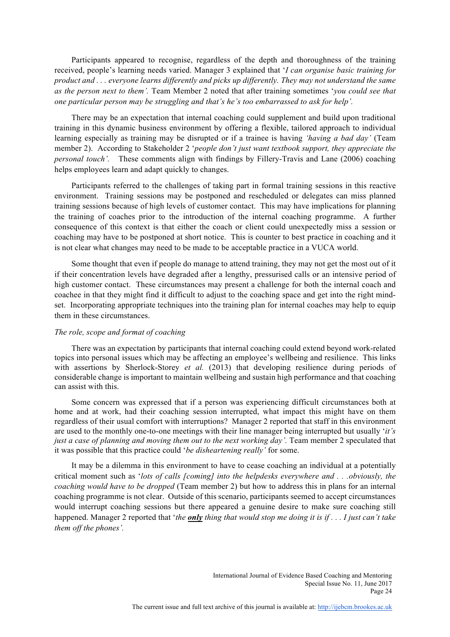Participants appeared to recognise, regardless of the depth and thoroughness of the training received, people's learning needs varied. Manager 3 explained that '*I can organise basic training for product and . . . everyone learns differently and picks up differently. They may not understand the same as the person next to them'.* Team Member 2 noted that after training sometimes '*you could see that one particular person may be struggling and that's he's too embarrassed to ask for help'.*

There may be an expectation that internal coaching could supplement and build upon traditional training in this dynamic business environment by offering a flexible, tailored approach to individual learning especially as training may be disrupted or if a trainee is having *'having a bad day'* (Team member 2). According to Stakeholder 2 '*people don't just want textbook support, they appreciate the personal touch'.* These comments align with findings by Fillery-Travis and Lane (2006) coaching helps employees learn and adapt quickly to changes.

Participants referred to the challenges of taking part in formal training sessions in this reactive environment. Training sessions may be postponed and rescheduled or delegates can miss planned training sessions because of high levels of customer contact. This may have implications for planning the training of coaches prior to the introduction of the internal coaching programme. A further consequence of this context is that either the coach or client could unexpectedly miss a session or coaching may have to be postponed at short notice. This is counter to best practice in coaching and it is not clear what changes may need to be made to be acceptable practice in a VUCA world.

Some thought that even if people do manage to attend training, they may not get the most out of it if their concentration levels have degraded after a lengthy, pressurised calls or an intensive period of high customer contact. These circumstances may present a challenge for both the internal coach and coachee in that they might find it difficult to adjust to the coaching space and get into the right mindset. Incorporating appropriate techniques into the training plan for internal coaches may help to equip them in these circumstances.

### *The role, scope and format of coaching*

There was an expectation by participants that internal coaching could extend beyond work-related topics into personal issues which may be affecting an employee's wellbeing and resilience. This links with assertions by Sherlock-Storey *et al.* (2013) that developing resilience during periods of considerable change is important to maintain wellbeing and sustain high performance and that coaching can assist with this.

Some concern was expressed that if a person was experiencing difficult circumstances both at home and at work, had their coaching session interrupted, what impact this might have on them regardless of their usual comfort with interruptions? Manager 2 reported that staff in this environment are used to the monthly one-to-one meetings with their line manager being interrupted but usually '*it's just a case of planning and moving them out to the next working day'*. Team member 2 speculated that it was possible that this practice could '*be disheartening really'* for some.

It may be a dilemma in this environment to have to cease coaching an individual at a potentially critical moment such as '*lots of calls [coming] into the helpdesks everywhere and . . .obviously, the coaching would have to be dropped* (Team member 2) but how to address this in plans for an internal coaching programme is not clear. Outside of this scenario, participants seemed to accept circumstances would interrupt coaching sessions but there appeared a genuine desire to make sure coaching still happened. Manager 2 reported that '*the only thing that would stop me doing it is if . . . I just can't take them off the phones'.*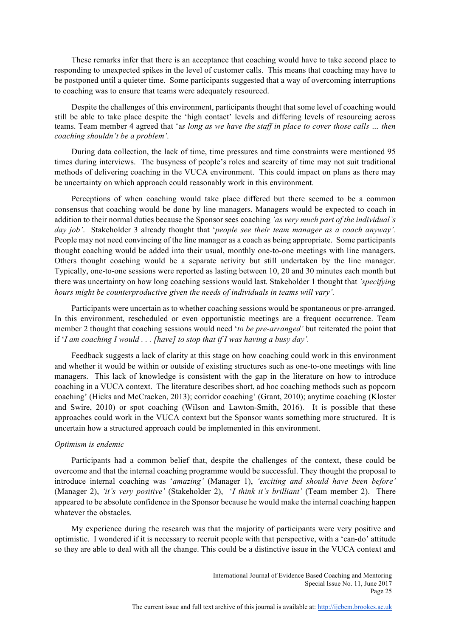These remarks infer that there is an acceptance that coaching would have to take second place to responding to unexpected spikes in the level of customer calls. This means that coaching may have to be postponed until a quieter time. Some participants suggested that a way of overcoming interruptions to coaching was to ensure that teams were adequately resourced.

Despite the challenges of this environment, participants thought that some level of coaching would still be able to take place despite the 'high contact' levels and differing levels of resourcing across teams. Team member 4 agreed that 'a*s long as we have the staff in place to cover those calls … then coaching shouldn't be a problem'.*

During data collection, the lack of time, time pressures and time constraints were mentioned 95 times during interviews. The busyness of people's roles and scarcity of time may not suit traditional methods of delivering coaching in the VUCA environment. This could impact on plans as there may be uncertainty on which approach could reasonably work in this environment.

Perceptions of when coaching would take place differed but there seemed to be a common consensus that coaching would be done by line managers. Managers would be expected to coach in addition to their normal duties because the Sponsor sees coaching *'as very much part of the individual's day job'*. Stakeholder 3 already thought that '*people see their team manager as a coach anyway'.*  People may not need convincing of the line manager as a coach as being appropriate. Some participants thought coaching would be added into their usual, monthly one-to-one meetings with line managers. Others thought coaching would be a separate activity but still undertaken by the line manager. Typically, one-to-one sessions were reported as lasting between 10, 20 and 30 minutes each month but there was uncertainty on how long coaching sessions would last. Stakeholder 1 thought that *'specifying hours might be counterproductive given the needs of individuals in teams will vary'.* 

Participants were uncertain as to whether coaching sessions would be spontaneous or pre-arranged. In this environment, rescheduled or even opportunistic meetings are a frequent occurrence. Team member 2 thought that coaching sessions would need '*to be pre-arranged'* but reiterated the point that if '*I am coaching I would . . . [have] to stop that if I was having a busy day'.* 

Feedback suggests a lack of clarity at this stage on how coaching could work in this environment and whether it would be within or outside of existing structures such as one-to-one meetings with line managers. This lack of knowledge is consistent with the gap in the literature on how to introduce coaching in a VUCA context. The literature describes short, ad hoc coaching methods such as popcorn coaching' (Hicks and McCracken, 2013); corridor coaching' (Grant, 2010); anytime coaching (Kloster and Swire, 2010) or spot coaching (Wilson and Lawton-Smith, 2016). It is possible that these approaches could work in the VUCA context but the Sponsor wants something more structured. It is uncertain how a structured approach could be implemented in this environment.

### *Optimism is endemic*

Participants had a common belief that, despite the challenges of the context, these could be overcome and that the internal coaching programme would be successful. They thought the proposal to introduce internal coaching was '*amazing'* (Manager 1), *'exciting and should have been before'* (Manager 2), *'it's very positive'* (Stakeholder 2), '*I think it's brilliant'* (Team member 2). There appeared to be absolute confidence in the Sponsor because he would make the internal coaching happen whatever the obstacles.

My experience during the research was that the majority of participants were very positive and optimistic. I wondered if it is necessary to recruit people with that perspective, with a 'can-do' attitude so they are able to deal with all the change. This could be a distinctive issue in the VUCA context and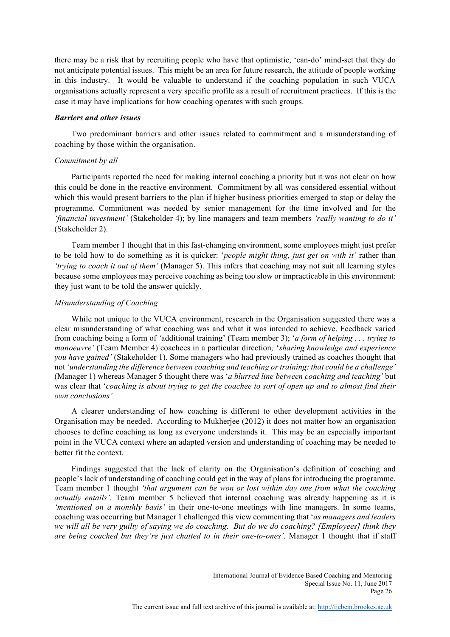there may be a risk that by recruiting people who have that optimistic, 'can-do' mind-set that they do not anticipate potential issues. This might be an area for future research, the attitude of people working in this industry. It would be valuable to understand if the coaching population in such VUCA organisations actually represent a very specific profile as a result of recruitment practices. If this is the case it may have implications for how coaching operates with such groups.

#### *Barriers and other issues*

Two predominant barriers and other issues related to commitment and a misunderstanding of coaching by those within the organisation.

#### *Commitment by all*

Participants reported the need for making internal coaching a priority but it was not clear on how this could be done in the reactive environment. Commitment by all was considered essential without which this would present barriers to the plan if higher business priorities emerged to stop or delay the programme. Commitment was needed by senior management for the time involved and for the *'financial investment'* (Stakeholder 4); by line managers and team members *'really wanting to do it'* (Stakeholder 2).

Team member 1 thought that in this fast-changing environment, some employees might just prefer to be told how to do something as it is quicker: '*people might thing, just get on with it'* rather than *'trying to coach it out of them'* (Manager 5). This infers that coaching may not suit all learning styles because some employees may perceive coaching as being too slow or impracticable in this environment: they just want to be told the answer quickly.

### *Misunderstanding of Coaching*

While not unique to the VUCA environment, research in the Organisation suggested there was a clear misunderstanding of what coaching was and what it was intended to achieve. Feedback varied from coaching being a form of *'*additional training' (Team member 3); '*a form of helping . . . trying to manoeuvre'* (Team Member 4) coachees in a particular direction*;* '*sharing knowledge and experience you have gained'* (Stakeholder 1). Some managers who had previously trained as coaches thought that not *'understanding the difference between coaching and teaching or training: that could be a challenge'* (Manager 1) whereas Manager 5 thought there was '*a blurred line between coaching and teaching'* but was clear that '*coaching is about trying to get the coachee to sort of open up and to almost find their own conclusions'.*

A clearer understanding of how coaching is different to other development activities in the Organisation may be needed. According to Mukherjee (2012) it does not matter how an organisation chooses to define coaching as long as everyone understands it. This may be an especially important point in the VUCA context where an adapted version and understanding of coaching may be needed to better fit the context.

Findings suggested that the lack of clarity on the Organisation's definition of coaching and people's lack of understanding of coaching could get in the way of plans for introducing the programme. Team member 1 thought *'that argument can be won or lost within day one from what the coaching actually entails'.* Team member 5 believed that internal coaching was already happening as it is *'mentioned on a monthly basis'* in their one-to-one meetings with line managers. In some teams, coaching was occurring but Manager 1 challenged this view commenting that '*as managers and leaders we will all be very guilty of saying we do coaching. But do we do coaching? [Employees] think they are being coached but they're just chatted to in their one-to-ones'.* Manager 1 thought that if staff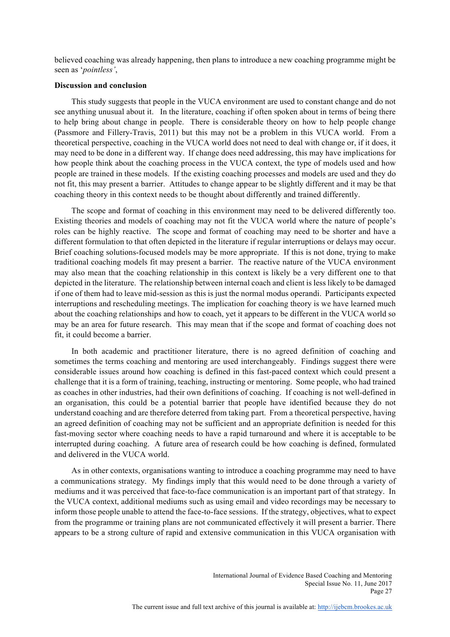believed coaching was already happening, then plans to introduce a new coaching programme might be seen as '*pointless'*,

#### **Discussion and conclusion**

This study suggests that people in the VUCA environment are used to constant change and do not see anything unusual about it. In the literature, coaching if often spoken about in terms of being there to help bring about change in people. There is considerable theory on how to help people change (Passmore and Fillery-Travis, 2011) but this may not be a problem in this VUCA world. From a theoretical perspective, coaching in the VUCA world does not need to deal with change or, if it does, it may need to be done in a different way. If change does need addressing, this may have implications for how people think about the coaching process in the VUCA context, the type of models used and how people are trained in these models. If the existing coaching processes and models are used and they do not fit, this may present a barrier. Attitudes to change appear to be slightly different and it may be that coaching theory in this context needs to be thought about differently and trained differently.

The scope and format of coaching in this environment may need to be delivered differently too. Existing theories and models of coaching may not fit the VUCA world where the nature of people's roles can be highly reactive. The scope and format of coaching may need to be shorter and have a different formulation to that often depicted in the literature if regular interruptions or delays may occur. Brief coaching solutions-focused models may be more appropriate. If this is not done, trying to make traditional coaching models fit may present a barrier. The reactive nature of the VUCA environment may also mean that the coaching relationship in this context is likely be a very different one to that depicted in the literature. The relationship between internal coach and client is less likely to be damaged if one of them had to leave mid-session as this is just the normal modus operandi. Participants expected interruptions and rescheduling meetings. The implication for coaching theory is we have learned much about the coaching relationships and how to coach, yet it appears to be different in the VUCA world so may be an area for future research. This may mean that if the scope and format of coaching does not fit, it could become a barrier.

In both academic and practitioner literature, there is no agreed definition of coaching and sometimes the terms coaching and mentoring are used interchangeably. Findings suggest there were considerable issues around how coaching is defined in this fast-paced context which could present a challenge that it is a form of training, teaching, instructing or mentoring. Some people, who had trained as coaches in other industries, had their own definitions of coaching. If coaching is not well-defined in an organisation, this could be a potential barrier that people have identified because they do not understand coaching and are therefore deterred from taking part. From a theoretical perspective, having an agreed definition of coaching may not be sufficient and an appropriate definition is needed for this fast-moving sector where coaching needs to have a rapid turnaround and where it is acceptable to be interrupted during coaching. A future area of research could be how coaching is defined, formulated and delivered in the VUCA world.

As in other contexts, organisations wanting to introduce a coaching programme may need to have a communications strategy. My findings imply that this would need to be done through a variety of mediums and it was perceived that face-to-face communication is an important part of that strategy. In the VUCA context, additional mediums such as using email and video recordings may be necessary to inform those people unable to attend the face-to-face sessions. If the strategy, objectives, what to expect from the programme or training plans are not communicated effectively it will present a barrier. There appears to be a strong culture of rapid and extensive communication in this VUCA organisation with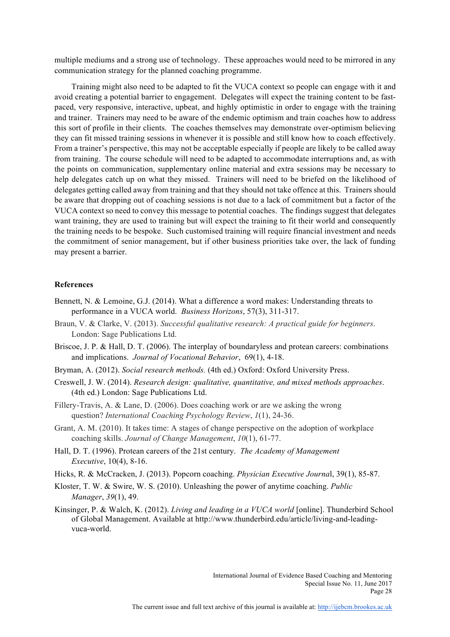multiple mediums and a strong use of technology. These approaches would need to be mirrored in any communication strategy for the planned coaching programme.

Training might also need to be adapted to fit the VUCA context so people can engage with it and avoid creating a potential barrier to engagement. Delegates will expect the training content to be fastpaced, very responsive, interactive, upbeat, and highly optimistic in order to engage with the training and trainer. Trainers may need to be aware of the endemic optimism and train coaches how to address this sort of profile in their clients. The coaches themselves may demonstrate over-optimism believing they can fit missed training sessions in whenever it is possible and still know how to coach effectively. From a trainer's perspective, this may not be acceptable especially if people are likely to be called away from training. The course schedule will need to be adapted to accommodate interruptions and, as with the points on communication, supplementary online material and extra sessions may be necessary to help delegates catch up on what they missed. Trainers will need to be briefed on the likelihood of delegates getting called away from training and that they should not take offence at this. Trainers should be aware that dropping out of coaching sessions is not due to a lack of commitment but a factor of the VUCA context so need to convey this message to potential coaches. The findings suggest that delegates want training, they are used to training but will expect the training to fit their world and consequently the training needs to be bespoke. Such customised training will require financial investment and needs the commitment of senior management, but if other business priorities take over, the lack of funding may present a barrier.

#### **References**

- Bennett, N. & Lemoine, G.J. (2014). What a difference a word makes: Understanding threats to performance in a VUCA world. *Business Horizons*, 57(3), 311-317.
- Braun, V. & Clarke, V. (2013). *Successful qualitative research: A practical guide for beginners*. London: Sage Publications Ltd.
- Briscoe, J. P. & Hall, D. T. (2006). The interplay of boundaryless and protean careers: combinations and implications. *Journal of Vocational Behavior*, 69(1), 4-18.
- Bryman, A. (2012). *Social research methods.* (4th ed.) Oxford: Oxford University Press.
- Creswell, J. W. (2014). *Research design: qualitative, quantitative, and mixed methods approaches*. (4th ed.) London: Sage Publications Ltd.
- Fillery-Travis, A. & Lane, D. (2006). Does coaching work or are we asking the wrong question? *International Coaching Psychology Review*, *1*(1), 24-36.
- Grant, A. M. (2010). It takes time: A stages of change perspective on the adoption of workplace coaching skills. *Journal of Change Management*, *10*(1), 61-77.
- Hall, D. T. (1996). Protean careers of the 21st century. *The Academy of Management Executive*, 10(4), 8-16.
- Hicks, R. & McCracken, J. (2013). Popcorn coaching. *Physician Executive Journa*l, 39(1), 85-87.
- Kloster, T. W. & Swire, W. S. (2010). Unleashing the power of anytime coaching. *Public Manager*, *39*(1), 49.
- Kinsinger, P. & Walch, K. (2012). *Living and leading in a VUCA world* [online]. Thunderbird School of Global Management. Available at http://www.thunderbird.edu/article/living-and-leadingvuca-world.